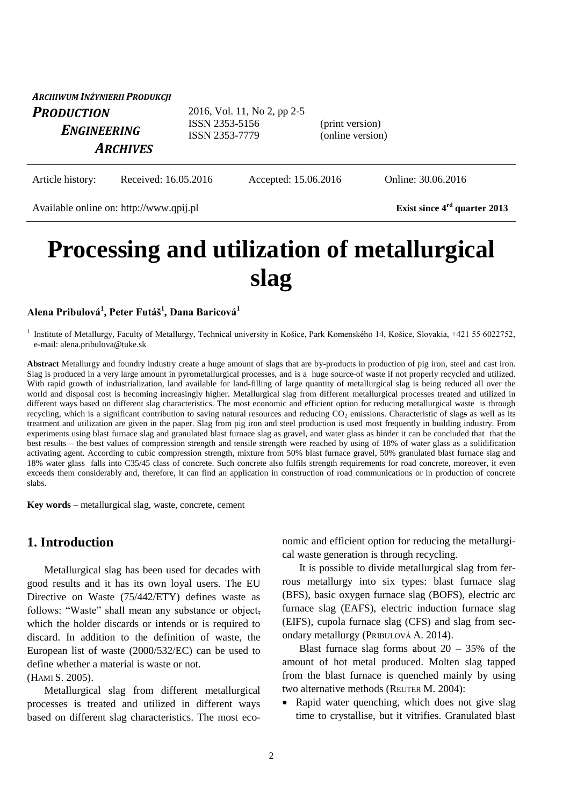| ARCHIWUM INŻYNIERII PRODUKCJI           |                                                                 |                                     |  |
|-----------------------------------------|-----------------------------------------------------------------|-------------------------------------|--|
| <b>PRODUCTION</b><br><b>ENGINEERING</b> | 2016, Vol. 11, No 2, pp 2-5<br>ISSN 2353-5156<br>ISSN 2353-7779 | (print version)<br>(online version) |  |
| <b>ARCHIVES</b>                         |                                                                 |                                     |  |

Article history: Received: 16.05.2016 Accepted: 15.06.2016 Online: 30.06.2016

Available online on: http://www.qpij.pl **Exist since 4rd quarter 2013**

# **Processing and utilization of metallurgical slag**

#### **Alena Pribulová<sup>1</sup> , Peter Futáš<sup>1</sup> , Dana Baricová<sup>1</sup>**

<sup>1</sup> Institute of Metallurgy, Faculty of Metallurgy, Technical university in Košice, Park Komenského 14, Košice, Slovakia, +421 55 6022752, e-mail: alena.pribulova@tuke.sk

**Abstract** Metallurgy and foundry industry create a huge amount of slags that are by-products in production of pig iron, steel and cast iron. Slag is produced in a very large amount in pyrometallurgical processes, and is a huge source of waste if not properly recycled and utilized. With rapid growth of industrialization, land available for land-filling of large quantity of metallurgical slag is being reduced all over the world and disposal cost is becoming increasingly higher. Metallurgical slag from different metallurgical processes treated and utilized in different ways based on different slag characteristics. The most economic and efficient option for reducing metallurgical waste is through recycling, which is a significant contribution to saving natural resources and reducing  $CO<sub>2</sub>$  emissions. Characteristic of slags as well as its treatment and utilization are given in the paper. Slag from pig iron and steel production is used most frequently in building industry. From experiments using blast furnace slag and granulated blast furnace slag as gravel, and water glass as binder it can be concluded that that the best results – the best values of compression strength and tensile strength were reached by using of 18% of water glass as a solidification activating agent. According to cubic compression strength, mixture from 50% blast furnace gravel, 50% granulated blast furnace slag and 18% water glass falls into C35/45 class of concrete. Such concrete also fulfils strength requirements for road concrete, moreover, it even exceeds them considerably and, therefore, it can find an application in construction of road communications or in production of concrete slabs.

**Key words** – metallurgical slag, waste, concrete, cement

### **1. Introduction**

Metallurgical slag has been used for decades with good results and it has its own loyal users. The EU Directive on Waste (75/442/ETY) defines waste as follows: "Waste" shall mean any substance or object, which the holder discards or intends or is required to discard. In addition to the definition of waste, the European list of waste (2000/532/EC) can be used to define whether a material is waste or not.

(HAMI S. 2005).

Metallurgical slag from different metallurgical processes is treated and utilized in different ways based on different slag characteristics. The most economic and efficient option for reducing the metallurgical waste generation is through recycling.

It is possible to divide metallurgical slag from ferrous metallurgy into six types: blast furnace slag (BFS), basic oxygen furnace slag (BOFS), electric arc furnace slag (EAFS), electric induction furnace slag (EIFS), cupola furnace slag (CFS) and slag from secondary metallurgy (PRIBULOVÁ A. 2014).

Blast furnace slag forms about  $20 - 35\%$  of the amount of hot metal produced. Molten slag tapped from the blast furnace is quenched mainly by using two alternative methods (REUTER M. 2004):

• Rapid water quenching, which does not give slag time to crystallise, but it vitrifies. Granulated blast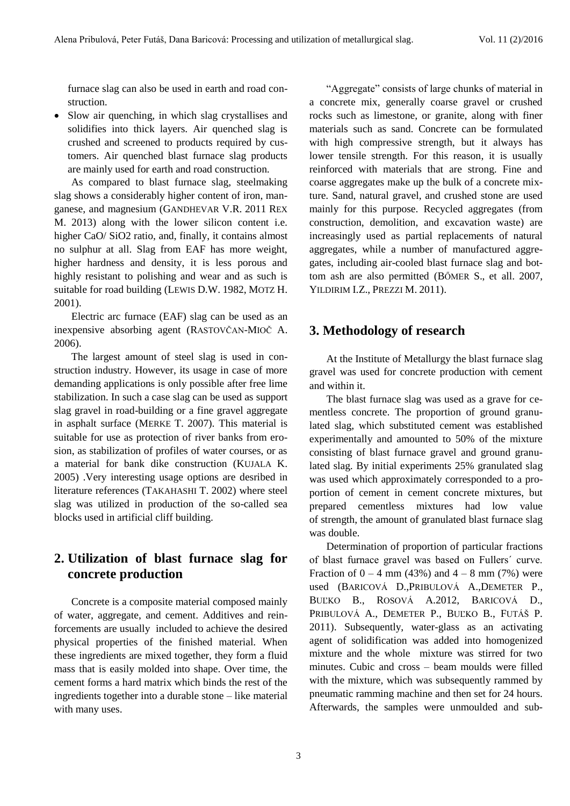furnace slag can also be used in earth and road construction.

• Slow air quenching, in which slag crystallises and solidifies into thick layers. Air quenched slag is crushed and screened to products required by customers. Air quenched blast furnace slag products are mainly used for earth and road construction.

As compared to blast furnace slag, steelmaking slag shows a considerably higher content of iron, manganese, and magnesium (GANDHEVAR V.R. 2011 REX M. 2013) along with the lower silicon content i.e. higher CaO/ SiO2 ratio, and, finally, it contains almost no sulphur at all. Slag from EAF has more weight, higher hardness and density, it is less porous and highly resistant to polishing and wear and as such is suitable for road building (LEWIS D.W. 1982, MOTZ H. 2001).

Electric arc furnace (EAF) slag can be used as an inexpensive absorbing agent (RASTOVČAN-MIOČ A. 2006).

The largest amount of steel slag is used in construction industry. However, its usage in case of more demanding applications is only possible after free lime stabilization. In such a case slag can be used as support slag gravel in road-building or a fine gravel aggregate in asphalt surface (MERKE T. 2007). This material is suitable for use as protection of river banks from erosion, as stabilization of profiles of water courses, or as a material for bank dike construction (KUJALA K. 2005) .Very interesting usage options are desribed in literature references (TAKAHASHI T. 2002) where steel slag was utilized in production of the so-called sea blocks used in artificial cliff building.

## **2. Utilization of blast furnace slag for concrete production**

Concrete is a composite material composed mainly of water, aggregate, and cement. Additives and reinforcements are usually included to achieve the desired physical properties of the finished material. When these ingredients are mixed together, they form a fluid mass that is easily molded into shape. Over time, the cement forms a hard matrix which binds the rest of the ingredients together into a durable stone – like material with many uses.

"Aggregate" consists of large chunks of material in a concrete mix, generally coarse gravel or crushed rocks such as limestone, or granite, along with finer materials such as sand. Concrete can be formulated with high compressive strength, but it always has lower tensile strength. For this reason, it is usually reinforced with materials that are strong. Fine and coarse aggregates make up the bulk of a concrete mixture. Sand, natural gravel, and crushed stone are used mainly for this purpose. Recycled aggregates (from construction, demolition, and excavation waste) are increasingly used as partial replacements of natural aggregates, while a number of manufactured aggregates, including air-cooled blast furnace slag and bottom ash are also permitted (BŐMER S., et all. 2007, YILDIRIM I.Z., PREZZI M. 2011).

#### **3. Methodology of research**

At the Institute of Metallurgy the blast furnace slag gravel was used for concrete production with cement and within it.

The blast furnace slag was used as a grave for cementless concrete. The proportion of ground granulated slag, which substituted cement was established experimentally and amounted to 50% of the mixture consisting of blast furnace gravel and ground granulated slag. By initial experiments 25% granulated slag was used which approximately corresponded to a proportion of cement in cement concrete mixtures, but prepared cementless mixtures had low value of strength, the amount of granulated blast furnace slag was double.

Determination of proportion of particular fractions of blast furnace gravel was based on Fullers´ curve. Fraction of  $0 - 4$  mm (43%) and  $4 - 8$  mm (7%) were used (BARICOVÁ D.,PRIBULOVÁ A.,DEMETER P., BUĽKO B., ROSOVÁ A.2012, BARICOVÁ D., PRIBULOVÁ A., DEMETER P., BUĽKO B., FUTÁŠ P. 2011). Subsequently, water-glass as an activating agent of solidification was added into homogenized mixture and the whole mixture was stirred for two minutes. Cubic and cross – beam moulds were filled with the mixture, which was subsequently rammed by pneumatic ramming machine and then set for 24 hours. Afterwards, the samples were unmoulded and sub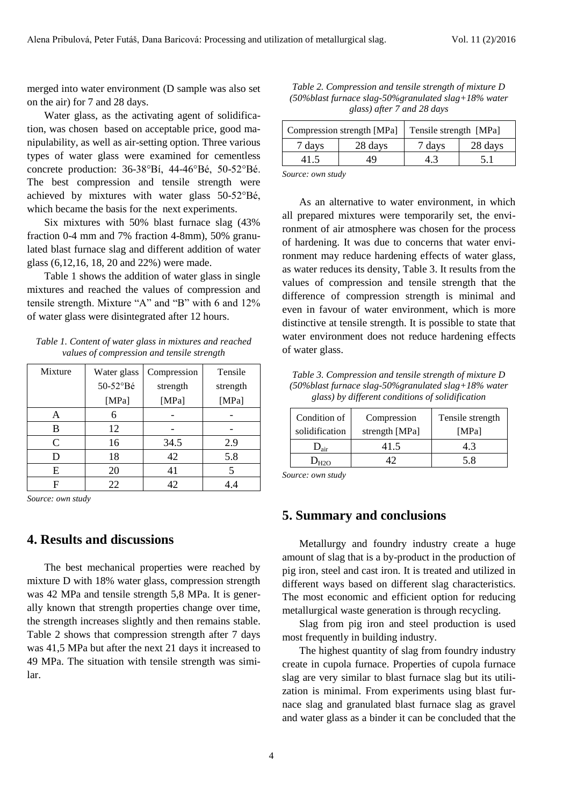merged into water environment (D sample was also set on the air) for 7 and 28 days.

Water glass, as the activating agent of solidification, was chosen based on acceptable price, good manipulability, as well as air-setting option. Three various types of water glass were examined for cementless concrete production: 36-38°Bí, 44-46°Bé, 50-52°Bé. The best compression and tensile strength were achieved by mixtures with water glass 50-52°Bé, which became the basis for the next experiments.

Six mixtures with 50% blast furnace slag (43% fraction 0-4 mm and 7% fraction 4-8mm), 50% granulated blast furnace slag and different addition of water glass (6,12,16, 18, 20 and 22%) were made.

Table 1 shows the addition of water glass in single mixtures and reached the values of compression and tensile strength. Mixture "A" and "B" with 6 and 12% of water glass were disintegrated after 12 hours.

*Table 1. Content of water glass in mixtures and reached values of compression and tensile strength*

| Mixture | Water glass | Compression | Tensile  |
|---------|-------------|-------------|----------|
|         | 50-52°Bé    | strength    | strength |
|         | [ $MPa$ ]   | [ $MPa$ ]   | [MPa]    |
| A       | 6           |             |          |
| B       | 12          |             |          |
| C       | 16          | 34.5        | 2.9      |
| D       | 18          | 42          | 5.8      |
| E       | 20          | 41          | 5        |
| F       | 22          | 42          | 4.4      |

*Source: own study*

### **4. Results and discussions**

The best mechanical properties were reached by mixture D with 18% water glass, compression strength was 42 MPa and tensile strength 5,8 MPa. It is generally known that strength properties change over time, the strength increases slightly and then remains stable. Table 2 shows that compression strength after 7 days was 41,5 MPa but after the next 21 days it increased to 49 MPa. The situation with tensile strength was similar.

*Table 2. Compression and tensile strength of mixture D (50%blast furnace slag-50%granulated slag+18% water glass) after 7 and 28 days*

| Compression strength [MPa] |         | Tensile strength [MPa] |         |
|----------------------------|---------|------------------------|---------|
| 7 days                     | 28 days | 7 days                 | 28 days |
| 41.5                       | 49      |                        | ו. ל    |
|                            |         |                        |         |

*Source: own study*

As an alternative to water environment, in which all prepared mixtures were temporarily set, the environment of air atmosphere was chosen for the process of hardening. It was due to concerns that water environment may reduce hardening effects of water glass, as water reduces its density, Table 3. It results from the values of compression and tensile strength that the difference of compression strength is minimal and even in favour of water environment, which is more distinctive at tensile strength. It is possible to state that water environment does not reduce hardening effects of water glass.

*Table 3. Compression and tensile strength of mixture D (50%blast furnace slag-50%granulated slag+18% water glass) by different conditions of solidification*

| Condition of           | Compression    | Tensile strength |
|------------------------|----------------|------------------|
| solidification         | strength [MPa] | [MPa]            |
| $\mathbf{D}_{\rm air}$ | 41.5           | 4.3              |
|                        |                | 58               |

*Source: own study*

#### **5. Summary and conclusions**

Metallurgy and foundry industry create a huge amount of slag that is a by-product in the production of pig iron, steel and cast iron. It is treated and utilized in different ways based on different slag characteristics. The most economic and efficient option for reducing metallurgical waste generation is through recycling.

Slag from pig iron and steel production is used most frequently in building industry.

The highest quantity of slag from foundry industry create in cupola furnace. Properties of cupola furnace slag are very similar to blast furnace slag but its utilization is minimal. From experiments using blast furnace slag and granulated blast furnace slag as gravel and water glass as a binder it can be concluded that the